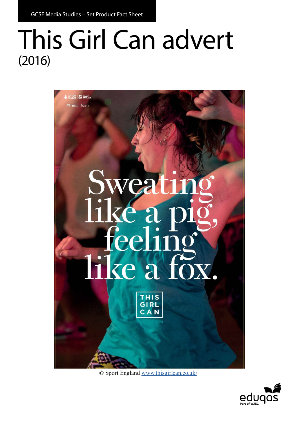GCSE Media Studies – Set Product Fact Sheet

## This Girl Can advert (2016)



© Sport England www.thisgirlcan.co.uk/

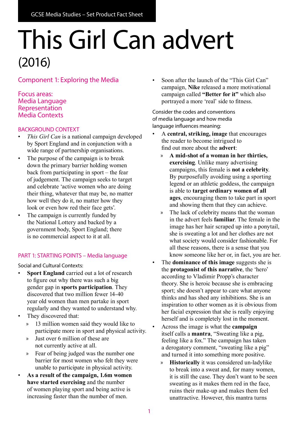# This Girl Can advert (2016)

### Component 1: Exploring the Media

#### Focus areas: Media Language Representation Media Contexts

#### BACKGROUND CONTEXT

- *This Girl Can* is a national campaign developed by Sport England and in conjunction with a wide range of partnership organisations.
- The purpose of the campaign is to break down the primary barrier holding women back from participating in sport – the fear of judgement. The campaign seeks to target and celebrate 'active women who are doing their thing, whatever that may be, no matter how well they do it, no matter how they look or even how red their face gets'.
- The campaign is currently funded by the National Lottery and backed by a government body, Sport England; there is no commercial aspect to it at all.

#### PART 1: STARTING POINTS – Media language

Social and Cultural Contexts:

- **Sport England** carried out a lot of research to figure out why there was such a big gender gap in **sports participation**. They discovered that two million fewer 14-40 year old women than men partake in sport regularly and they wanted to understand why.
- They discovered that:
	- » 13 million women said they would like to participate more in sport and physical activity.
	- » Just over 6 million of these are not currently active at all.
	- » Fear of being judged was the number one barrier for most women who felt they were unable to participate in physical activity.
- **As a result of the campaign, 1.6m women have started exercising** and the number of women playing sport and being active is increasing faster than the number of men.

Soon after the launch of the "This Girl Can" campaign, **Nike** released a more motivational campaign called **"Better for it"** which also portrayed a more 'real' side to fitness.

Consider the codes and conventions of media language and how media language influences meaning:

- A **central, striking, image** that encourages the reader to become intrigued to find out more about the **advert**:
	- » **A mid-shot of a woman in her thirties, exercising**. Unlike many advertising campaigns, this female is **not a celebrity**. By purposefully avoiding using a sporting legend or an athletic goddess, the campaign is able to **target ordinary women of all ages**, encouraging them to take part in sport and showing them that they can achieve.
	- » The lack of celebrity means that the woman in the advert feels **familiar**. The female in the image has her hair scraped up into a ponytail, she is sweating a lot and her clothes are not what society would consider fashionable. For all these reasons, there is a sense that you know someone like her or, in fact, you are her.
- The **dominance of this image** suggests she is the **protagonist of this narrative**, the 'hero' according to Vladimir Propp's character theory. She is heroic because she is embracing sport; she doesn't appear to care what anyone thinks and has shed any inhibitions. She is an inspiration to other women as it is obvious from her facial expression that she is really enjoying herself and is completely lost in the moment.
- Across the image is what the **campaign** itself calls a **mantra**, "Sweating like a pig, feeling like a fox." The campaign has taken a derogatory comment, "sweating like a pig" and turned it into something more positive.
	- » **Historically** it was considered un-ladylike to break into a sweat and, for many women, it is still the case. They don't want to be seen sweating as it makes them red in the face, ruins their make-up and makes them feel unattractive. However, this mantra turns